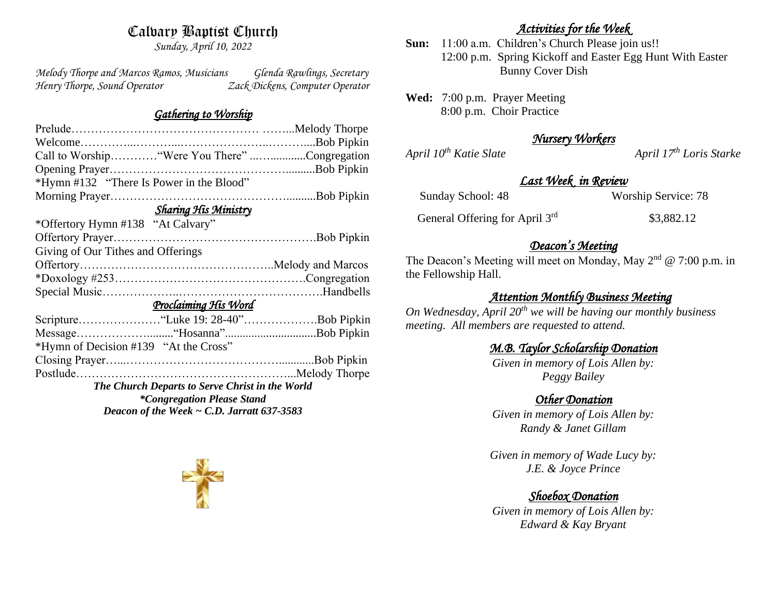# Calvary Baptist Church

*Sunday, April 10, 2022*

*Melody Thorpe and Marcos Ramos, Musicians Glenda Rawlings, Secretary Henry Thorpe, Sound Operator Zack Dickens, Computer Operator* 

#### *Gathering to Worship*

|                                                 | Call to Worship "Were You There" Congregation |
|-------------------------------------------------|-----------------------------------------------|
|                                                 |                                               |
| *Hymn #132 "There Is Power in the Blood"        |                                               |
|                                                 |                                               |
| <b>Sharing His Ministry</b>                     |                                               |
| *Offertory Hymn #138 "At Calvary"               |                                               |
|                                                 |                                               |
| Giving of Our Tithes and Offerings              |                                               |
|                                                 |                                               |
|                                                 |                                               |
|                                                 |                                               |
| Proclaiming His Word                            |                                               |
|                                                 |                                               |
|                                                 |                                               |
| *Hymn of Decision #139 "At the Cross"           |                                               |
|                                                 |                                               |
|                                                 |                                               |
| The Church Departs to Serve Christ in the World |                                               |
| <i>*Congregation Please Stand</i>               |                                               |
| Deacon of the Week $\sim$ C.D. Jarratt 637-3583 |                                               |

### *Activities for the Week*

**Sun:** 11:00 a.m. Children's Church Please join us!! 12:00 p.m. Spring Kickoff and Easter Egg Hunt With Easter Bunny Cover Dish

**Wed:** 7:00 p.m. Prayer Meeting 8:00 p.m. Choir Practice

## *Nursery Workers*

*April*  $10^{th}$  *Katie Slate April 17<sup>th</sup> <i>Loris Starke* 

#### *Last Week in Review*

Sunday School: 48 Worship Service: 78

General Offering for April 3rd

\$3,882.12

### *Deacon's Meeting*

The Deacon's Meeting will meet on Monday, May  $2<sup>nd</sup> @ 7:00$  p.m. in the Fellowship Hall.

### *Attention Monthly Business Meeting*

*On Wednesday, April 20th we will be having our monthly business meeting. All members are requested to attend.* 

### *M.B. Taylor Scholarship Donation*

*Given in memory of Lois Allen by: Peggy Bailey*

#### *Other Donation*

*Given in memory of Lois Allen by: Randy & Janet Gillam*

*Given in memory of Wade Lucy by: J.E. & Joyce Prince*

## *Shoebox Donation*

*Given in memory of Lois Allen by: Edward & Kay Bryant*

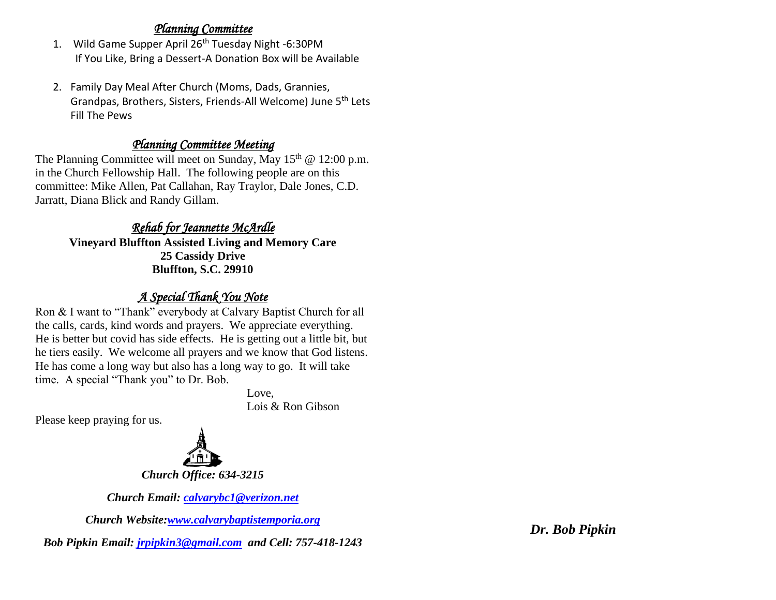#### *Planning Committee*

- 1. Wild Game Supper April 26<sup>th</sup> Tuesday Night -6:30PM If You Like, Bring a Dessert-A Donation Box will be Available
- 2. Family Day Meal After Church (Moms, Dads, Grannies, Grandpas, Brothers, Sisters, Friends-All Welcome) June 5th Lets Fill The Pews

### *Planning Committee Meeting*

The Planning Committee will meet on Sunday, May  $15<sup>th</sup>$  @ 12:00 p.m. in the Church Fellowship Hall. The following people are on this committee: Mike Allen, Pat Callahan, Ray Traylor, Dale Jones, C.D. Jarratt, Diana Blick and Randy Gillam.

## *Rehab for Jeannette McArdle*

**Vineyard Bluffton Assisted Living and Memory Care 25 Cassidy Drive Bluffton, S.C. 29910**

## *A Special Thank You Note*

Ron & I want to "Thank" everybody at Calvary Baptist Church for all the calls, cards, kind words and prayers. We appreciate everything. He is better but covid has side effects. He is getting out a little bit, but he tiers easily. We welcome all prayers and we know that God listens. He has come a long way but also has a long way to go. It will take time. A special "Thank you" to Dr. Bob.

Love,

Lois & Ron Gibson

Please keep praying for us.



*Church Office: 634-3215*

*Church Email: [calvarybc1@verizon.net](mailto:cbcemporiaoffice@gmail.com)*

*Church Website[:www.calvarybaptistemporia.org](http://www.calvarybaptistemporia.org/)*

*Bob Pipkin Email: [jrpipkin3@gmail.com](mailto:jrpipkin3@gmail.com) and Cell: 757-418-1243*

*Dr. Bob Pipkin*